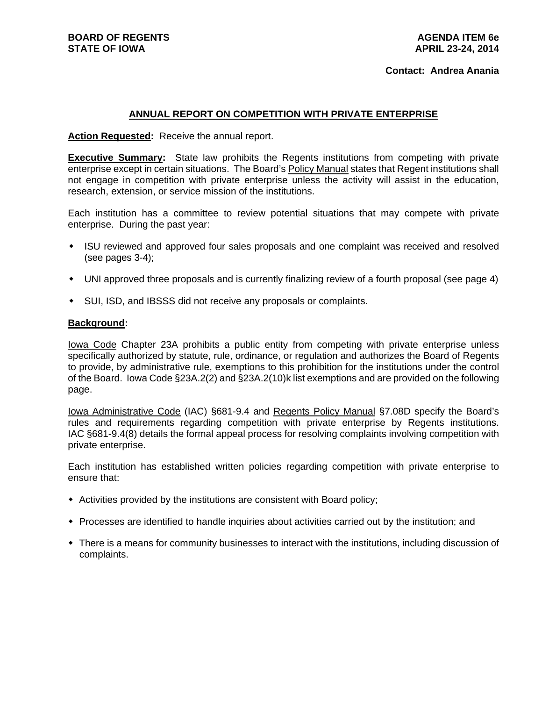# **ANNUAL REPORT ON COMPETITION WITH PRIVATE ENTERPRISE**

**Action Requested:** Receive the annual report.

**Executive Summary:** State law prohibits the Regents institutions from competing with private enterprise except in certain situations. The Board's Policy Manual states that Regent institutions shall not engage in competition with private enterprise unless the activity will assist in the education, research, extension, or service mission of the institutions.

Each institution has a committee to review potential situations that may compete with private enterprise. During the past year:

- ISU reviewed and approved four sales proposals and one complaint was received and resolved (see pages 3-4);
- UNI approved three proposals and is currently finalizing review of a fourth proposal (see page 4)
- SUI, ISD, and IBSSS did not receive any proposals or complaints.

### **Background:**

Iowa Code Chapter 23A prohibits a public entity from competing with private enterprise unless specifically authorized by statute, rule, ordinance, or regulation and authorizes the Board of Regents to provide, by administrative rule, exemptions to this prohibition for the institutions under the control of the Board. Iowa Code §23A.2(2) and §23A.2(10)k list exemptions and are provided on the following page.

Iowa Administrative Code (IAC) §681-9.4 and Regents Policy Manual §7.08D specify the Board's rules and requirements regarding competition with private enterprise by Regents institutions. IAC §681-9.4(8) details the formal appeal process for resolving complaints involving competition with private enterprise.

Each institution has established written policies regarding competition with private enterprise to ensure that:

- Activities provided by the institutions are consistent with Board policy;
- Processes are identified to handle inquiries about activities carried out by the institution; and
- There is a means for community businesses to interact with the institutions, including discussion of complaints.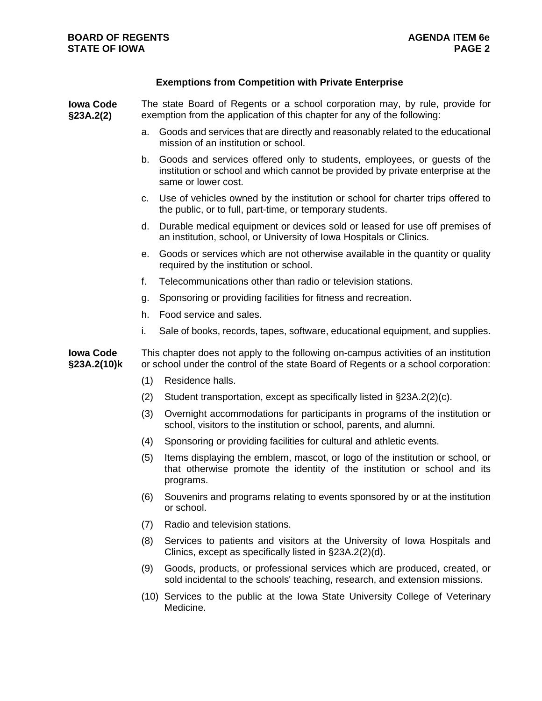# **Exemptions from Competition with Private Enterprise**

| <b>Iowa Code</b><br>§23A.2(2)   | The state Board of Regents or a school corporation may, by rule, provide for<br>exemption from the application of this chapter for any of the following:                  |                                                                                                                                                                                    |
|---------------------------------|---------------------------------------------------------------------------------------------------------------------------------------------------------------------------|------------------------------------------------------------------------------------------------------------------------------------------------------------------------------------|
|                                 | a.                                                                                                                                                                        | Goods and services that are directly and reasonably related to the educational<br>mission of an institution or school.                                                             |
|                                 | b.                                                                                                                                                                        | Goods and services offered only to students, employees, or guests of the<br>institution or school and which cannot be provided by private enterprise at the<br>same or lower cost. |
|                                 | C.                                                                                                                                                                        | Use of vehicles owned by the institution or school for charter trips offered to<br>the public, or to full, part-time, or temporary students.                                       |
|                                 | d.                                                                                                                                                                        | Durable medical equipment or devices sold or leased for use off premises of<br>an institution, school, or University of Iowa Hospitals or Clinics.                                 |
|                                 | е.                                                                                                                                                                        | Goods or services which are not otherwise available in the quantity or quality<br>required by the institution or school.                                                           |
|                                 | f.                                                                                                                                                                        | Telecommunications other than radio or television stations.                                                                                                                        |
|                                 | g.                                                                                                                                                                        | Sponsoring or providing facilities for fitness and recreation.                                                                                                                     |
|                                 | h.                                                                                                                                                                        | Food service and sales.                                                                                                                                                            |
|                                 | i.                                                                                                                                                                        | Sale of books, records, tapes, software, educational equipment, and supplies.                                                                                                      |
| <b>Iowa Code</b><br>§23A.2(10)k | This chapter does not apply to the following on-campus activities of an institution<br>or school under the control of the state Board of Regents or a school corporation: |                                                                                                                                                                                    |
|                                 | (1)                                                                                                                                                                       | Residence halls.                                                                                                                                                                   |
|                                 | (2)                                                                                                                                                                       | Student transportation, except as specifically listed in §23A.2(2)(c).                                                                                                             |
|                                 | (3)                                                                                                                                                                       | Overnight accommodations for participants in programs of the institution or<br>school, visitors to the institution or school, parents, and alumni.                                 |
|                                 | (4)                                                                                                                                                                       | Sponsoring or providing facilities for cultural and athletic events.                                                                                                               |
|                                 | (5)                                                                                                                                                                       | Items displaying the emblem, mascot, or logo of the institution or school, or<br>that otherwise promote the identity of the institution or school and its<br>programs.             |
|                                 |                                                                                                                                                                           | (6) Souvenirs and programs relating to events sponsored by or at the institution<br>or school.                                                                                     |
|                                 | (7)                                                                                                                                                                       | Radio and television stations.                                                                                                                                                     |
|                                 | (8)                                                                                                                                                                       | Services to patients and visitors at the University of Iowa Hospitals and<br>Clinics, except as specifically listed in §23A.2(2)(d).                                               |
|                                 | (9)                                                                                                                                                                       | Goods, products, or professional services which are produced, created, or<br>sold incidental to the schools' teaching, research, and extension missions.                           |
|                                 |                                                                                                                                                                           | (10) Services to the public at the Iowa State University College of Veterinary<br>Medicine.                                                                                        |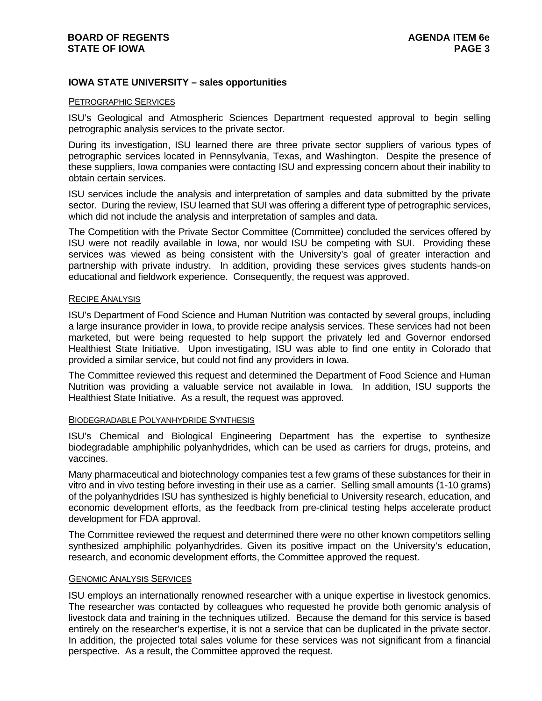# **IOWA STATE UNIVERSITY – sales opportunities**

# PETROGRAPHIC SERVICES

ISU's Geological and Atmospheric Sciences Department requested approval to begin selling petrographic analysis services to the private sector.

During its investigation, ISU learned there are three private sector suppliers of various types of petrographic services located in Pennsylvania, Texas, and Washington. Despite the presence of these suppliers, Iowa companies were contacting ISU and expressing concern about their inability to obtain certain services.

ISU services include the analysis and interpretation of samples and data submitted by the private sector. During the review, ISU learned that SUI was offering a different type of petrographic services, which did not include the analysis and interpretation of samples and data.

The Competition with the Private Sector Committee (Committee) concluded the services offered by ISU were not readily available in Iowa, nor would ISU be competing with SUI. Providing these services was viewed as being consistent with the University's goal of greater interaction and partnership with private industry. In addition, providing these services gives students hands-on educational and fieldwork experience. Consequently, the request was approved.

#### RECIPE ANALYSIS

ISU's Department of Food Science and Human Nutrition was contacted by several groups, including a large insurance provider in Iowa, to provide recipe analysis services. These services had not been marketed, but were being requested to help support the privately led and Governor endorsed Healthiest State Initiative. Upon investigating, ISU was able to find one entity in Colorado that provided a similar service, but could not find any providers in Iowa.

The Committee reviewed this request and determined the Department of Food Science and Human Nutrition was providing a valuable service not available in Iowa. In addition, ISU supports the Healthiest State Initiative. As a result, the request was approved.

## BIODEGRADABLE POLYANHYDRIDE SYNTHESIS

ISU's Chemical and Biological Engineering Department has the expertise to synthesize biodegradable amphiphilic polyanhydrides, which can be used as carriers for drugs, proteins, and vaccines.

Many pharmaceutical and biotechnology companies test a few grams of these substances for their in vitro and in vivo testing before investing in their use as a carrier. Selling small amounts (1-10 grams) of the polyanhydrides ISU has synthesized is highly beneficial to University research, education, and economic development efforts, as the feedback from pre-clinical testing helps accelerate product development for FDA approval.

The Committee reviewed the request and determined there were no other known competitors selling synthesized amphiphilic polyanhydrides. Given its positive impact on the University's education, research, and economic development efforts, the Committee approved the request.

### GENOMIC ANALYSIS SERVICES

ISU employs an internationally renowned researcher with a unique expertise in livestock genomics. The researcher was contacted by colleagues who requested he provide both genomic analysis of livestock data and training in the techniques utilized. Because the demand for this service is based entirely on the researcher's expertise, it is not a service that can be duplicated in the private sector. In addition, the projected total sales volume for these services was not significant from a financial perspective. As a result, the Committee approved the request.